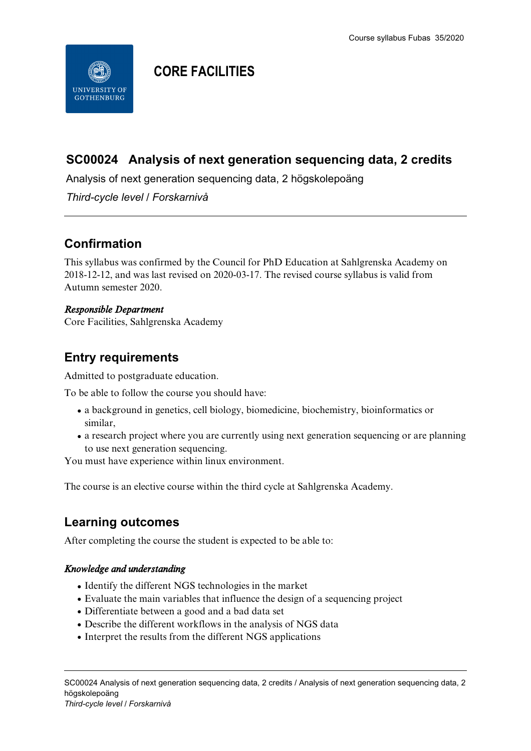

# **CORE FACILITIES**

### **SC00024 Analysis of next generation sequencing data, 2 credits**

Analysis of next generation sequencing data, 2 högskolepoäng

*Third-cycle level / Forskarnivå*

### **Confirmation**

This syllabus was confirmed by the Council for PhD Education at Sahlgrenska Academy on 2018-12-12, and was last revised on 2020-03-17. The revised course syllabus is valid from Autumn semester 2020.

#### *Responsible Department*

Core Facilities, Sahlgrenska Academy

### **Entry requirements**

Admitted to postgraduate education.

To be able to follow the course you should have:

- a background in genetics, cell biology, biomedicine, biochemistry, bioinformatics or similar,
- a research project where you are currently using next generation sequencing or are planning to use next generation sequencing.

You must have experience within linux environment.

The course is an elective course within the third cycle at Sahlgrenska Academy.

### **Learning outcomes**

After completing the course the student is expected to be able to:

### *Knowledge and understanding*

- Identify the different NGS technologies in the market
- Evaluate the main variables that influence the design of a sequencing project
- Differentiate between a good and a bad data set
- Describe the different workflows in the analysis of NGS data
- Interpret the results from the different NGS applications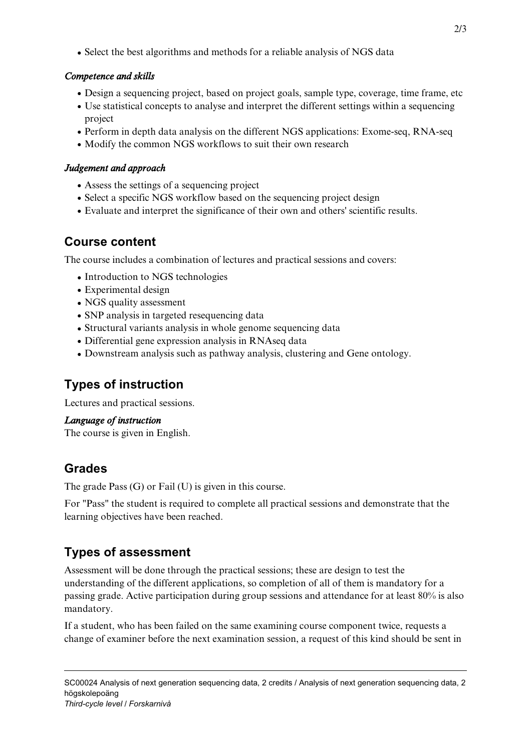• Select the best algorithms and methods for a reliable analysis of NGS data

### *Competence and skills*

- Design a sequencing project, based on project goals, sample type, coverage, time frame, etc
- Use statistical concepts to analyse and interpret the different settings within a sequencing project
- Perform in depth data analysis on the different NGS applications: Exome-seq, RNA-seq
- Modify the common NGS workflows to suit their own research

# *Judgement and approach*

- Assess the settings of a sequencing project
- Select a specific NGS workflow based on the sequencing project design
- Evaluate and interpret the significance of their own and others' scientific results.

### **Course content**

The course includes a combination of lectures and practical sessions and covers:

- Introduction to NGS technologies
- Experimental design
- NGS quality assessment
- SNP analysis in targeted resequencing data
- Structural variants analysis in whole genome sequencing data
- Differential gene expression analysis in RNAseq data
- Downstream analysis such as pathway analysis, clustering and Gene ontology.

# **Types of instruction**

Lectures and practical sessions.

#### *Language of instruction*

The course is given in English.

### **Grades**

The grade Pass (G) or Fail (U) is given in this course.

For "Pass" the student is required to complete all practical sessions and demonstrate that the learning objectives have been reached.

# **Types of assessment**

Assessment will be done through the practical sessions; these are design to test the understanding of the different applications, so completion of all of them is mandatory for a passing grade. Active participation during group sessions and attendance for at least 80% is also mandatory.

If a student, who has been failed on the same examining course component twice, requests a change of examiner before the next examination session, a request of this kind should be sent in